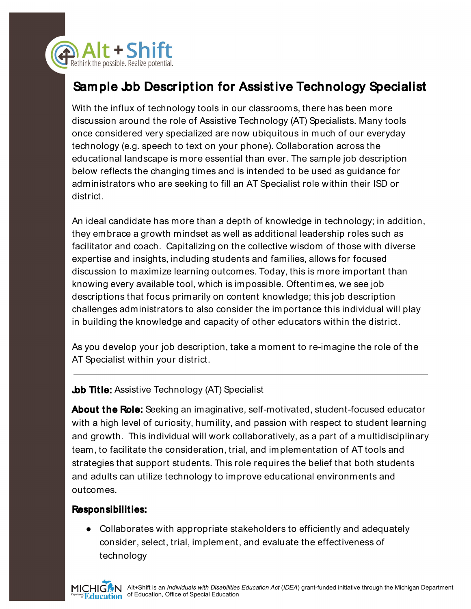

## Sample Job Description for Assistive Technology Specialist

With the influx of technology tools in our classrooms, there has been more discussion around the role of Assistive Technology (AT) Specialists. Many tools once considered very specialized are now ubiquitous in much of our everyday technology (e.g. speech to text on your phone). Collaboration across the educational landscape is more essential than ever. The sample job description below reflects the changing times and is intended to be used as guidance for administrators who are seeking to fill an AT Specialist role within their ISD or district.

An ideal candidate has more than a depth of knowledge in technology; in addition, they embrace a growth mindset as well as additional leadership roles such as facilitator and coach. Capitalizing on the collective wisdom of those with diverse expertise and insights, including students and families, allows for focused discussion to maximize learning outcomes. Today, this is more important than knowing every available tool, which is impossible. Oftentimes, we see job descriptions that focus primarily on content knowledge; this job description challenges administrators to also consider the importance this individual will play in building the knowledge and capacity of other educators within the district.

As you develop your job description, take a moment to re-imagine the role of the AT Specialist within your district.

## **Job Title:** Assistive Technology (AT) Specialist

**About the Role:** Seeking an imaginative, self-motivated, student-focused educator with a high level of curiosity, humility, and passion with respect to student learning and growth. This individual will work collaboratively, as a part of a multidisciplinary team, to facilitate the consideration, trial, and implementation of AT tools and strategies that support students. This role requires the belief that both students and adults can utilize technology to improve educational environments and outcomes.

## Responsibilities:

● Collaborates with appropriate stakeholders to efficiently and adequately consider, select, trial, implement, and evaluate the effectiveness of technology